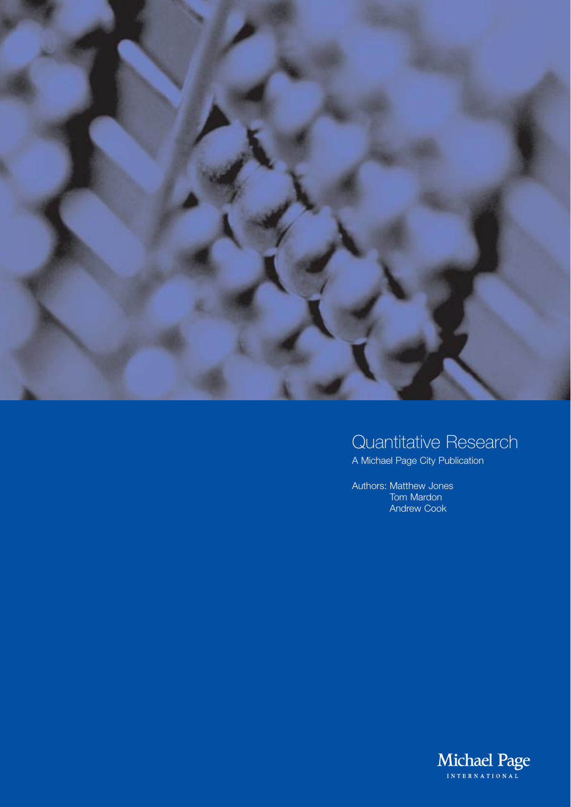

# Quantitative Research

A Michael Page City Publication

Authors: Matthew Jones Tom Mardon Andrew Cook

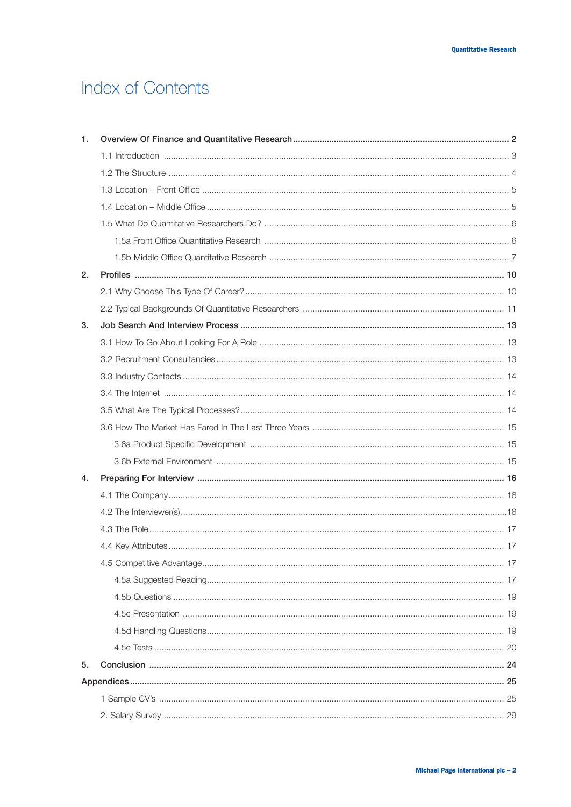# **Index of Contents**

| 1. |  |  |  |  |
|----|--|--|--|--|
|    |  |  |  |  |
|    |  |  |  |  |
|    |  |  |  |  |
|    |  |  |  |  |
|    |  |  |  |  |
|    |  |  |  |  |
|    |  |  |  |  |
| 2. |  |  |  |  |
|    |  |  |  |  |
|    |  |  |  |  |
| 3. |  |  |  |  |
|    |  |  |  |  |
|    |  |  |  |  |
|    |  |  |  |  |
|    |  |  |  |  |
|    |  |  |  |  |
|    |  |  |  |  |
|    |  |  |  |  |
|    |  |  |  |  |
| 4. |  |  |  |  |
|    |  |  |  |  |
|    |  |  |  |  |
|    |  |  |  |  |
|    |  |  |  |  |
|    |  |  |  |  |
|    |  |  |  |  |
|    |  |  |  |  |
|    |  |  |  |  |
|    |  |  |  |  |
|    |  |  |  |  |
| 5. |  |  |  |  |
|    |  |  |  |  |
|    |  |  |  |  |
|    |  |  |  |  |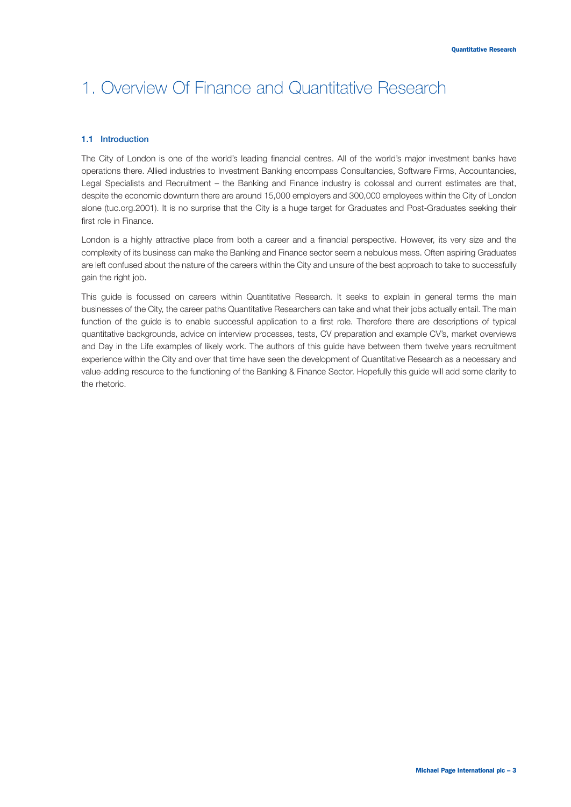#### **1.1 Introduction**

The City of London is one of the world's leading financial centres. All of the world's major investment banks have operations there. Allied industries to Investment Banking encompass Consultancies, Software Firms, Accountancies, Legal Specialists and Recruitment – the Banking and Finance industry is colossal and current estimates are that, despite the economic downturn there are around 15,000 employers and 300,000 employees within the City of London alone (tuc.org.2001). It is no surprise that the City is a huge target for Graduates and Post-Graduates seeking their first role in Finance.

London is a highly attractive place from both a career and a financial perspective. However, its very size and the complexity of its business can make the Banking and Finance sector seem a nebulous mess. Often aspiring Graduates are left confused about the nature of the careers within the City and unsure of the best approach to take to successfully gain the right job.

This guide is focussed on careers within Quantitative Research. It seeks to explain in general terms the main businesses of the City, the career paths Quantitative Researchers can take and what their jobs actually entail. The main function of the guide is to enable successful application to a first role. Therefore there are descriptions of typical quantitative backgrounds, advice on interview processes, tests, CV preparation and example CV's, market overviews and Day in the Life examples of likely work. The authors of this guide have between them twelve years recruitment experience within the City and over that time have seen the development of Quantitative Research as a necessary and value-adding resource to the functioning of the Banking & Finance Sector. Hopefully this guide will add some clarity to the rhetoric.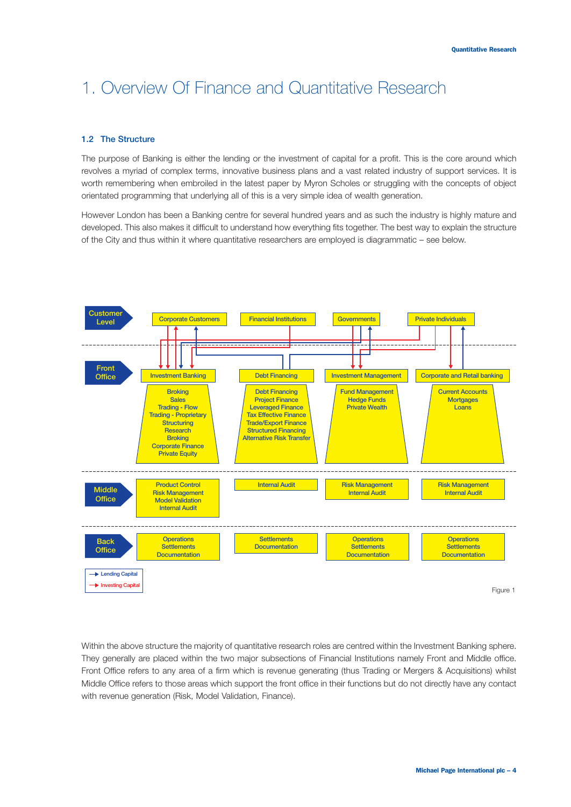#### **1.2 The Structure**

The purpose of Banking is either the lending or the investment of capital for a profit. This is the core around which revolves a myriad of complex terms, innovative business plans and a vast related industry of support services. It is worth remembering when embroiled in the latest paper by Myron Scholes or struggling with the concepts of object orientated programming that underlying all of this is a very simple idea of wealth generation.

However London has been a Banking centre for several hundred years and as such the industry is highly mature and developed. This also makes it difficult to understand how everything fits together. The best way to explain the structure of the City and thus within it where quantitative researchers are employed is diagrammatic – see below.



Within the above structure the majority of quantitative research roles are centred within the Investment Banking sphere. They generally are placed within the two major subsections of Financial Institutions namely Front and Middle office. Front Office refers to any area of a firm which is revenue generating (thus Trading or Mergers & Acquisitions) whilst Middle Office refers to those areas which support the front office in their functions but do not directly have any contact with revenue generation (Risk, Model Validation, Finance).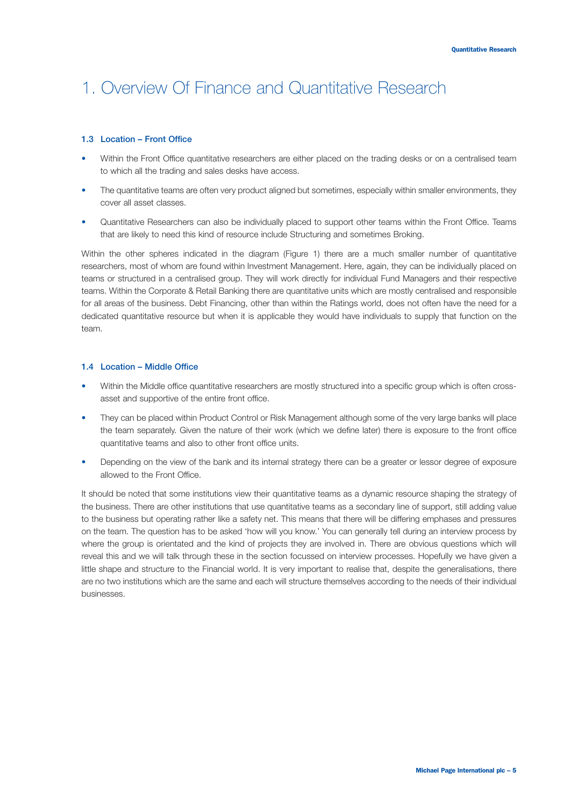#### **1.3 Location – Front Office**

- Within the Front Office quantitative researchers are either placed on the trading desks or on a centralised team to which all the trading and sales desks have access.
- The quantitative teams are often very product aligned but sometimes, especially within smaller environments, they cover all asset classes.
- Quantitative Researchers can also be individually placed to support other teams within the Front Office. Teams that are likely to need this kind of resource include Structuring and sometimes Broking.

Within the other spheres indicated in the diagram (Figure 1) there are a much smaller number of quantitative researchers, most of whom are found within Investment Management. Here, again, they can be individually placed on teams or structured in a centralised group. They will work directly for individual Fund Managers and their respective teams. Within the Corporate & Retail Banking there are quantitative units which are mostly centralised and responsible for all areas of the business. Debt Financing, other than within the Ratings world, does not often have the need for a dedicated quantitative resource but when it is applicable they would have individuals to supply that function on the team.

#### **1.4 Location – Middle Office**

- Within the Middle office quantitative researchers are mostly structured into a specific group which is often crossasset and supportive of the entire front office.
- They can be placed within Product Control or Risk Management although some of the very large banks will place the team separately. Given the nature of their work (which we define later) there is exposure to the front office quantitative teams and also to other front office units.
- Depending on the view of the bank and its internal strategy there can be a greater or lessor degree of exposure allowed to the Front Office.

It should be noted that some institutions view their quantitative teams as a dynamic resource shaping the strategy of the business. There are other institutions that use quantitative teams as a secondary line of support, still adding value to the business but operating rather like a safety net. This means that there will be differing emphases and pressures on the team. The question has to be asked 'how will you know.' You can generally tell during an interview process by where the group is orientated and the kind of projects they are involved in. There are obvious questions which will reveal this and we will talk through these in the section focussed on interview processes. Hopefully we have given a little shape and structure to the Financial world. It is very important to realise that, despite the generalisations, there are no two institutions which are the same and each will structure themselves according to the needs of their individual businesses.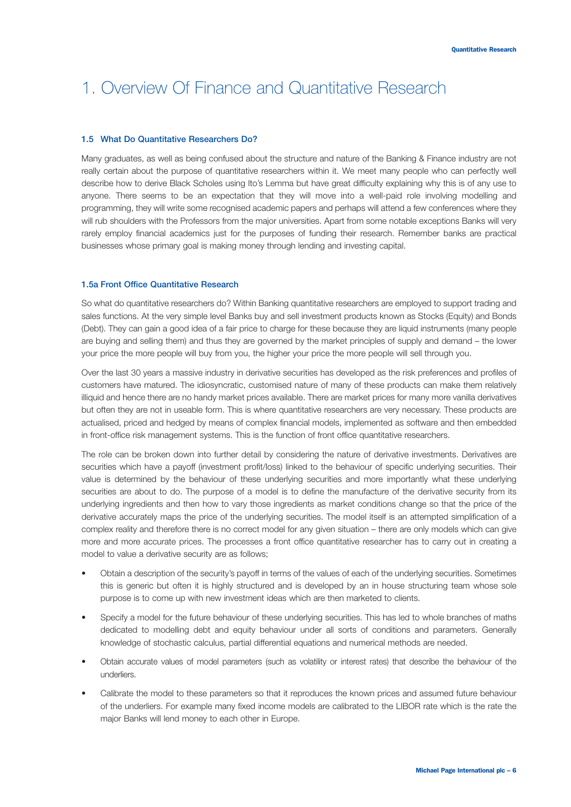#### **1.5 What Do Quantitative Researchers Do?**

Many graduates, as well as being confused about the structure and nature of the Banking & Finance industry are not really certain about the purpose of quantitative researchers within it. We meet many people who can perfectly well describe how to derive Black Scholes using Ito's Lemma but have great difficulty explaining why this is of any use to anyone. There seems to be an expectation that they will move into a well-paid role involving modelling and programming, they will write some recognised academic papers and perhaps will attend a few conferences where they will rub shoulders with the Professors from the major universities. Apart from some notable exceptions Banks will very rarely employ financial academics just for the purposes of funding their research. Remember banks are practical businesses whose primary goal is making money through lending and investing capital.

#### **1.5a Front Office Quantitative Research**

So what do quantitative researchers do? Within Banking quantitative researchers are employed to support trading and sales functions. At the very simple level Banks buy and sell investment products known as Stocks (Equity) and Bonds (Debt). They can gain a good idea of a fair price to charge for these because they are liquid instruments (many people are buying and selling them) and thus they are governed by the market principles of supply and demand – the lower your price the more people will buy from you, the higher your price the more people will sell through you.

Over the last 30 years a massive industry in derivative securities has developed as the risk preferences and profiles of customers have matured. The idiosyncratic, customised nature of many of these products can make them relatively illiquid and hence there are no handy market prices available. There are market prices for many more vanilla derivatives but often they are not in useable form. This is where quantitative researchers are very necessary. These products are actualised, priced and hedged by means of complex financial models, implemented as software and then embedded in front-office risk management systems. This is the function of front office quantitative researchers.

The role can be broken down into further detail by considering the nature of derivative investments. Derivatives are securities which have a payoff (investment profit/loss) linked to the behaviour of specific underlying securities. Their value is determined by the behaviour of these underlying securities and more importantly what these underlying securities are about to do. The purpose of a model is to define the manufacture of the derivative security from its underlying ingredients and then how to vary those ingredients as market conditions change so that the price of the derivative accurately maps the price of the underlying securities. The model itself is an attempted simplification of a complex reality and therefore there is no correct model for any given situation – there are only models which can give more and more accurate prices. The processes a front office quantitative researcher has to carry out in creating a model to value a derivative security are as follows;

- Obtain a description of the security's payoff in terms of the values of each of the underlying securities. Sometimes this is generic but often it is highly structured and is developed by an in house structuring team whose sole purpose is to come up with new investment ideas which are then marketed to clients.
- Specify a model for the future behaviour of these underlying securities. This has led to whole branches of maths dedicated to modelling debt and equity behaviour under all sorts of conditions and parameters. Generally knowledge of stochastic calculus, partial differential equations and numerical methods are needed.
- Obtain accurate values of model parameters (such as volatility or interest rates) that describe the behaviour of the underliers.
- Calibrate the model to these parameters so that it reproduces the known prices and assumed future behaviour of the underliers. For example many fixed income models are calibrated to the LIBOR rate which is the rate the major Banks will lend money to each other in Europe.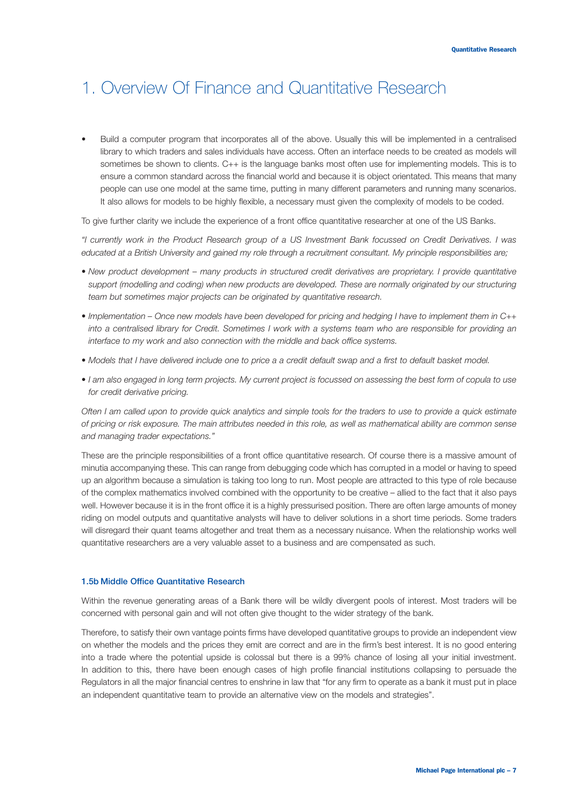• Build a computer program that incorporates all of the above. Usually this will be implemented in a centralised library to which traders and sales individuals have access. Often an interface needs to be created as models will sometimes be shown to clients. C++ is the language banks most often use for implementing models. This is to ensure a common standard across the financial world and because it is object orientated. This means that many people can use one model at the same time, putting in many different parameters and running many scenarios. It also allows for models to be highly flexible, a necessary must given the complexity of models to be coded.

To give further clarity we include the experience of a front office quantitative researcher at one of the US Banks.

*"I currently work in the Product Research group of a US Investment Bank focussed on Credit Derivatives. I was educated at a British University and gained my role through a recruitment consultant. My principle responsibilities are;*

- *New product development many products in structured credit derivatives are proprietary. I provide quantitative support (modelling and coding) when new products are developed. These are normally originated by our structuring team but sometimes major projects can be originated by quantitative research.*
- *Implementation Once new models have been developed for pricing and hedging I have to implement them in C++ into a centralised library for Credit. Sometimes I work with a systems team who are responsible for providing an interface to my work and also connection with the middle and back office systems.*
- *Models that I have delivered include one to price a a credit default swap and a first to default basket model.*
- *I am also engaged in long term projects. My current project is focussed on assessing the best form of copula to use for credit derivative pricing.*

*Often I am called upon to provide quick analytics and simple tools for the traders to use to provide a quick estimate of pricing or risk exposure. The main attributes needed in this role, as well as mathematical ability are common sense and managing trader expectations."*

These are the principle responsibilities of a front office quantitative research. Of course there is a massive amount of minutia accompanying these. This can range from debugging code which has corrupted in a model or having to speed up an algorithm because a simulation is taking too long to run. Most people are attracted to this type of role because of the complex mathematics involved combined with the opportunity to be creative – allied to the fact that it also pays well. However because it is in the front office it is a highly pressurised position. There are often large amounts of money riding on model outputs and quantitative analysts will have to deliver solutions in a short time periods. Some traders will disregard their quant teams altogether and treat them as a necessary nuisance. When the relationship works well quantitative researchers are a very valuable asset to a business and are compensated as such.

#### **1.5b Middle Office Quantitative Research**

Within the revenue generating areas of a Bank there will be wildly divergent pools of interest. Most traders will be concerned with personal gain and will not often give thought to the wider strategy of the bank.

Therefore, to satisfy their own vantage points firms have developed quantitative groups to provide an independent view on whether the models and the prices they emit are correct and are in the firm's best interest. It is no good entering into a trade where the potential upside is colossal but there is a 99% chance of losing all your initial investment. In addition to this, there have been enough cases of high profile financial institutions collapsing to persuade the Regulators in all the major financial centres to enshrine in law that "for any firm to operate as a bank it must put in place an independent quantitative team to provide an alternative view on the models and strategies".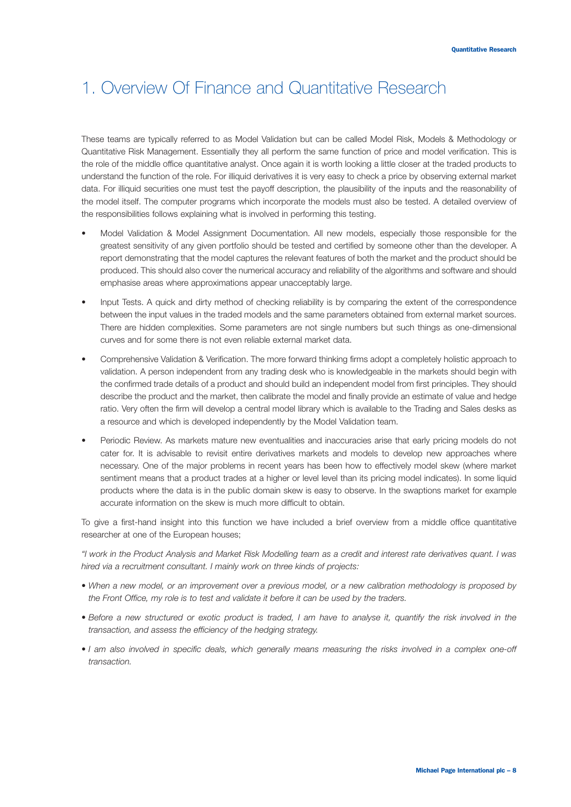These teams are typically referred to as Model Validation but can be called Model Risk, Models & Methodology or Quantitative Risk Management. Essentially they all perform the same function of price and model verification. This is the role of the middle office quantitative analyst. Once again it is worth looking a little closer at the traded products to understand the function of the role. For illiquid derivatives it is very easy to check a price by observing external market data. For illiquid securities one must test the payoff description, the plausibility of the inputs and the reasonability of the model itself. The computer programs which incorporate the models must also be tested. A detailed overview of the responsibilities follows explaining what is involved in performing this testing.

- Model Validation & Model Assignment Documentation. All new models, especially those responsible for the greatest sensitivity of any given portfolio should be tested and certified by someone other than the developer. A report demonstrating that the model captures the relevant features of both the market and the product should be produced. This should also cover the numerical accuracy and reliability of the algorithms and software and should emphasise areas where approximations appear unacceptably large.
- Input Tests. A quick and dirty method of checking reliability is by comparing the extent of the correspondence between the input values in the traded models and the same parameters obtained from external market sources. There are hidden complexities. Some parameters are not single numbers but such things as one-dimensional curves and for some there is not even reliable external market data.
- Comprehensive Validation & Verification. The more forward thinking firms adopt a completely holistic approach to validation. A person independent from any trading desk who is knowledgeable in the markets should begin with the confirmed trade details of a product and should build an independent model from first principles. They should describe the product and the market, then calibrate the model and finally provide an estimate of value and hedge ratio. Very often the firm will develop a central model library which is available to the Trading and Sales desks as a resource and which is developed independently by the Model Validation team.
- Periodic Review. As markets mature new eventualities and inaccuracies arise that early pricing models do not cater for. It is advisable to revisit entire derivatives markets and models to develop new approaches where necessary. One of the major problems in recent years has been how to effectively model skew (where market sentiment means that a product trades at a higher or level level than its pricing model indicates). In some liquid products where the data is in the public domain skew is easy to observe. In the swaptions market for example accurate information on the skew is much more difficult to obtain.

To give a first-hand insight into this function we have included a brief overview from a middle office quantitative researcher at one of the European houses;

*"I work in the Product Analysis and Market Risk Modelling team as a credit and interest rate derivatives quant. I was hired via a recruitment consultant. I mainly work on three kinds of projects:*

- *When a new model, or an improvement over a previous model, or a new calibration methodology is proposed by the Front Office, my role is to test and validate it before it can be used by the traders.*
- Before a new structured or exotic product is traded, I am have to analyse it, quantify the risk involved in the *transaction, and assess the efficiency of the hedging strategy.*
- *I am also involved in specific deals, which generally means measuring the risks involved in a complex one-off transaction.*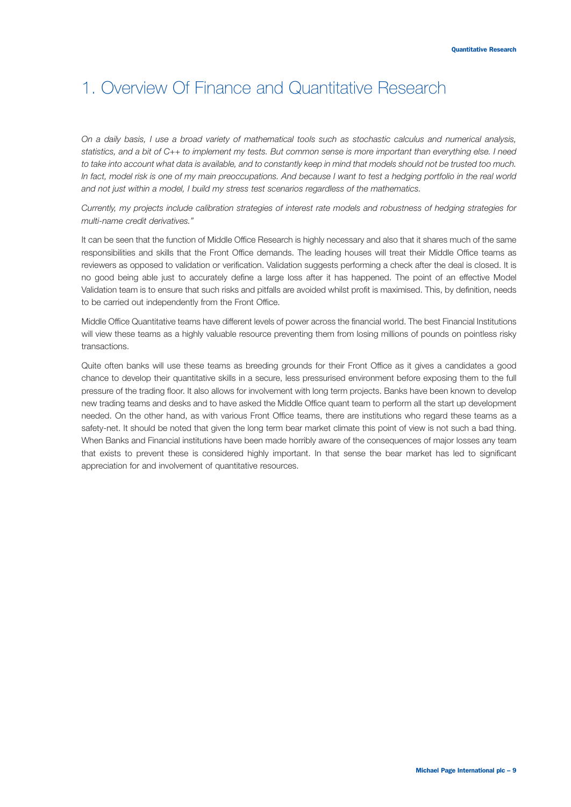*On a daily basis, I use a broad variety of mathematical tools such as stochastic calculus and numerical analysis, statistics, and a bit of C++ to implement my tests. But common sense is more important than everything else. I need to take into account what data is available, and to constantly keep in mind that models should not be trusted too much.* In fact, model risk is one of my main preoccupations. And because I want to test a hedging portfolio in the real world *and not just within a model, I build my stress test scenarios regardless of the mathematics.*

*Currently, my projects include calibration strategies of interest rate models and robustness of hedging strategies for multi-name credit derivatives."*

It can be seen that the function of Middle Office Research is highly necessary and also that it shares much of the same responsibilities and skills that the Front Office demands. The leading houses will treat their Middle Office teams as reviewers as opposed to validation or verification. Validation suggests performing a check after the deal is closed. It is no good being able just to accurately define a large loss after it has happened. The point of an effective Model Validation team is to ensure that such risks and pitfalls are avoided whilst profit is maximised. This, by definition, needs to be carried out independently from the Front Office.

Middle Office Quantitative teams have different levels of power across the financial world. The best Financial Institutions will view these teams as a highly valuable resource preventing them from losing millions of pounds on pointless risky transactions.

Quite often banks will use these teams as breeding grounds for their Front Office as it gives a candidates a good chance to develop their quantitative skills in a secure, less pressurised environment before exposing them to the full pressure of the trading floor. It also allows for involvement with long term projects. Banks have been known to develop new trading teams and desks and to have asked the Middle Office quant team to perform all the start up development needed. On the other hand, as with various Front Office teams, there are institutions who regard these teams as a safety-net. It should be noted that given the long term bear market climate this point of view is not such a bad thing. When Banks and Financial institutions have been made horribly aware of the consequences of major losses any team that exists to prevent these is considered highly important. In that sense the bear market has led to significant appreciation for and involvement of quantitative resources.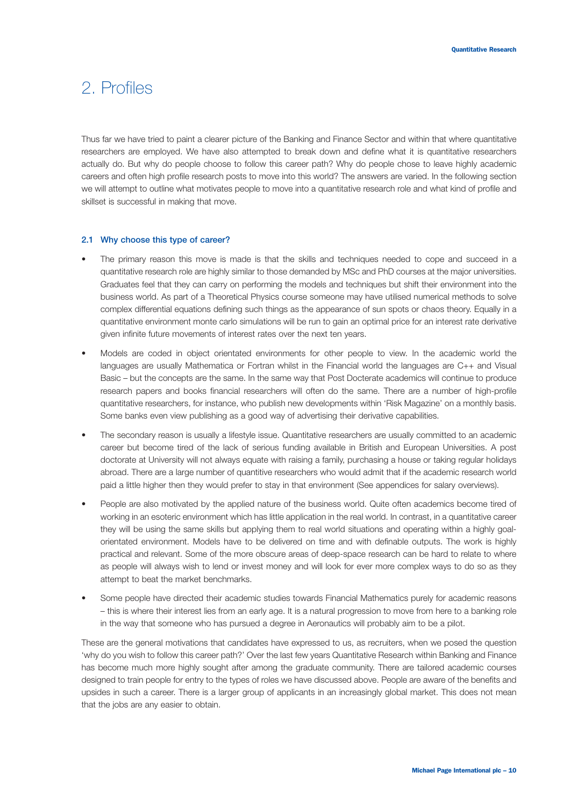### 2. Profiles

Thus far we have tried to paint a clearer picture of the Banking and Finance Sector and within that where quantitative researchers are employed. We have also attempted to break down and define what it is quantitative researchers actually do. But why do people choose to follow this career path? Why do people chose to leave highly academic careers and often high profile research posts to move into this world? The answers are varied. In the following section we will attempt to outline what motivates people to move into a quantitative research role and what kind of profile and skillset is successful in making that move.

#### **2.1 Why choose this type of career?**

- The primary reason this move is made is that the skills and techniques needed to cope and succeed in a quantitative research role are highly similar to those demanded by MSc and PhD courses at the major universities. Graduates feel that they can carry on performing the models and techniques but shift their environment into the business world. As part of a Theoretical Physics course someone may have utilised numerical methods to solve complex differential equations defining such things as the appearance of sun spots or chaos theory. Equally in a quantitative environment monte carlo simulations will be run to gain an optimal price for an interest rate derivative given infinite future movements of interest rates over the next ten years.
- Models are coded in object orientated environments for other people to view. In the academic world the languages are usually Mathematica or Fortran whilst in the Financial world the languages are C++ and Visual Basic – but the concepts are the same. In the same way that Post Docterate academics will continue to produce research papers and books financial researchers will often do the same. There are a number of high-profile quantitative researchers, for instance, who publish new developments within 'Risk Magazine' on a monthly basis. Some banks even view publishing as a good way of advertising their derivative capabilities.
- The secondary reason is usually a lifestyle issue. Quantitative researchers are usually committed to an academic career but become tired of the lack of serious funding available in British and European Universities. A post doctorate at University will not always equate with raising a family, purchasing a house or taking regular holidays abroad. There are a large number of quantitive researchers who would admit that if the academic research world paid a little higher then they would prefer to stay in that environment (See appendices for salary overviews).
- People are also motivated by the applied nature of the business world. Quite often academics become tired of working in an esoteric environment which has little application in the real world. In contrast, in a quantitative career they will be using the same skills but applying them to real world situations and operating within a highly goalorientated environment. Models have to be delivered on time and with definable outputs. The work is highly practical and relevant. Some of the more obscure areas of deep-space research can be hard to relate to where as people will always wish to lend or invest money and will look for ever more complex ways to do so as they attempt to beat the market benchmarks.
- Some people have directed their academic studies towards Financial Mathematics purely for academic reasons – this is where their interest lies from an early age. It is a natural progression to move from here to a banking role in the way that someone who has pursued a degree in Aeronautics will probably aim to be a pilot.

These are the general motivations that candidates have expressed to us, as recruiters, when we posed the question 'why do you wish to follow this career path?' Over the last few years Quantitative Research within Banking and Finance has become much more highly sought after among the graduate community. There are tailored academic courses designed to train people for entry to the types of roles we have discussed above. People are aware of the benefits and upsides in such a career. There is a larger group of applicants in an increasingly global market. This does not mean that the jobs are any easier to obtain.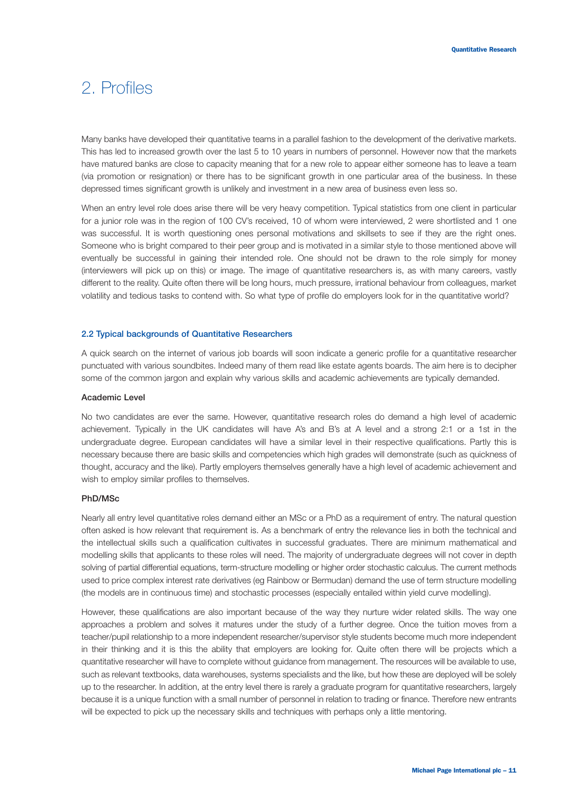### 2. Profiles

Many banks have developed their quantitative teams in a parallel fashion to the development of the derivative markets. This has led to increased growth over the last 5 to 10 years in numbers of personnel. However now that the markets have matured banks are close to capacity meaning that for a new role to appear either someone has to leave a team (via promotion or resignation) or there has to be significant growth in one particular area of the business. In these depressed times significant growth is unlikely and investment in a new area of business even less so.

When an entry level role does arise there will be very heavy competition. Typical statistics from one client in particular for a junior role was in the region of 100 CV's received, 10 of whom were interviewed, 2 were shortlisted and 1 one was successful. It is worth questioning ones personal motivations and skillsets to see if they are the right ones. Someone who is bright compared to their peer group and is motivated in a similar style to those mentioned above will eventually be successful in gaining their intended role. One should not be drawn to the role simply for money (interviewers will pick up on this) or image. The image of quantitative researchers is, as with many careers, vastly different to the reality. Quite often there will be long hours, much pressure, irrational behaviour from colleagues, market volatility and tedious tasks to contend with. So what type of profile do employers look for in the quantitative world?

#### **2.2 Typical backgrounds of Quantitative Researchers**

A quick search on the internet of various job boards will soon indicate a generic profile for a quantitative researcher punctuated with various soundbites. Indeed many of them read like estate agents boards. The aim here is to decipher some of the common jargon and explain why various skills and academic achievements are typically demanded.

#### **Academic Level**

No two candidates are ever the same. However, quantitative research roles do demand a high level of academic achievement. Typically in the UK candidates will have A's and B's at A level and a strong 2:1 or a 1st in the undergraduate degree. European candidates will have a similar level in their respective qualifications. Partly this is necessary because there are basic skills and competencies which high grades will demonstrate (such as quickness of thought, accuracy and the like). Partly employers themselves generally have a high level of academic achievement and wish to employ similar profiles to themselves.

#### **PhD/MSc**

Nearly all entry level quantitative roles demand either an MSc or a PhD as a requirement of entry. The natural question often asked is how relevant that requirement is. As a benchmark of entry the relevance lies in both the technical and the intellectual skills such a qualification cultivates in successful graduates. There are minimum mathematical and modelling skills that applicants to these roles will need. The majority of undergraduate degrees will not cover in depth solving of partial differential equations, term-structure modelling or higher order stochastic calculus. The current methods used to price complex interest rate derivatives (eg Rainbow or Bermudan) demand the use of term structure modelling (the models are in continuous time) and stochastic processes (especially entailed within yield curve modelling).

However, these qualifications are also important because of the way they nurture wider related skills. The way one approaches a problem and solves it matures under the study of a further degree. Once the tuition moves from a teacher/pupil relationship to a more independent researcher/supervisor style students become much more independent in their thinking and it is this the ability that employers are looking for. Quite often there will be projects which a quantitative researcher will have to complete without guidance from management. The resources will be available to use, such as relevant textbooks, data warehouses, systems specialists and the like, but how these are deployed will be solely up to the researcher. In addition, at the entry level there is rarely a graduate program for quantitative researchers, largely because it is a unique function with a small number of personnel in relation to trading or finance. Therefore new entrants will be expected to pick up the necessary skills and techniques with perhaps only a little mentoring.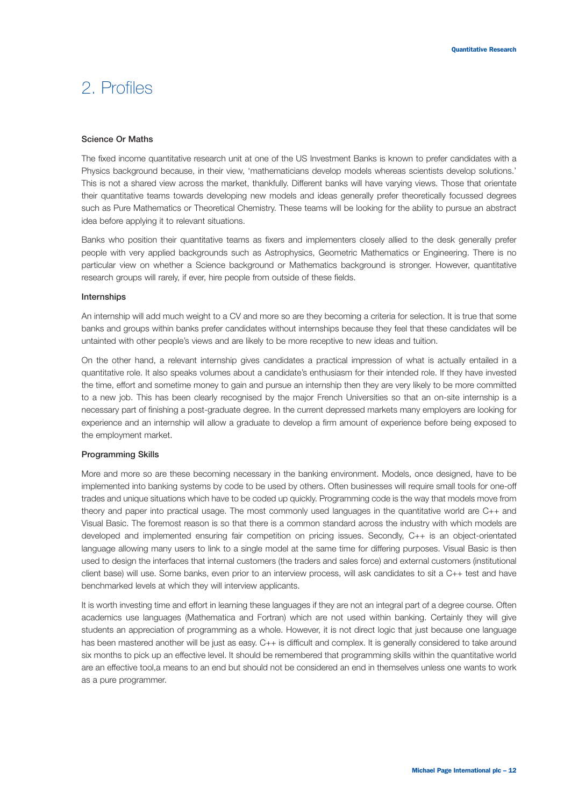### 2. Profiles

#### **Science Or Maths**

The fixed income quantitative research unit at one of the US Investment Banks is known to prefer candidates with a Physics background because, in their view, 'mathematicians develop models whereas scientists develop solutions.' This is not a shared view across the market, thankfully. Different banks will have varying views. Those that orientate their quantitative teams towards developing new models and ideas generally prefer theoretically focussed degrees such as Pure Mathematics or Theoretical Chemistry. These teams will be looking for the ability to pursue an abstract idea before applying it to relevant situations.

Banks who position their quantitative teams as fixers and implementers closely allied to the desk generally prefer people with very applied backgrounds such as Astrophysics, Geometric Mathematics or Engineering. There is no particular view on whether a Science background or Mathematics background is stronger. However, quantitative research groups will rarely, if ever, hire people from outside of these fields.

#### **Internships**

An internship will add much weight to a CV and more so are they becoming a criteria for selection. It is true that some banks and groups within banks prefer candidates without internships because they feel that these candidates will be untainted with other people's views and are likely to be more receptive to new ideas and tuition.

On the other hand, a relevant internship gives candidates a practical impression of what is actually entailed in a quantitative role. It also speaks volumes about a candidate's enthusiasm for their intended role. If they have invested the time, effort and sometime money to gain and pursue an internship then they are very likely to be more committed to a new job. This has been clearly recognised by the major French Universities so that an on-site internship is a necessary part of finishing a post-graduate degree. In the current depressed markets many employers are looking for experience and an internship will allow a graduate to develop a firm amount of experience before being exposed to the employment market.

#### **Programming Skills**

More and more so are these becoming necessary in the banking environment. Models, once designed, have to be implemented into banking systems by code to be used by others. Often businesses will require small tools for one-off trades and unique situations which have to be coded up quickly. Programming code is the way that models move from theory and paper into practical usage. The most commonly used languages in the quantitative world are C++ and Visual Basic. The foremost reason is so that there is a common standard across the industry with which models are developed and implemented ensuring fair competition on pricing issues. Secondly, C++ is an object-orientated language allowing many users to link to a single model at the same time for differing purposes. Visual Basic is then used to design the interfaces that internal customers (the traders and sales force) and external customers (institutional client base) will use. Some banks, even prior to an interview process, will ask candidates to sit a C++ test and have benchmarked levels at which they will interview applicants.

It is worth investing time and effort in learning these languages if they are not an integral part of a degree course. Often academics use languages (Mathematica and Fortran) which are not used within banking. Certainly they will give students an appreciation of programming as a whole. However, it is not direct logic that just because one language has been mastered another will be just as easy. C++ is difficult and complex. It is generally considered to take around six months to pick up an effective level. It should be remembered that programming skills within the quantitative world are an effective tool,a means to an end but should not be considered an end in themselves unless one wants to work as a pure programmer.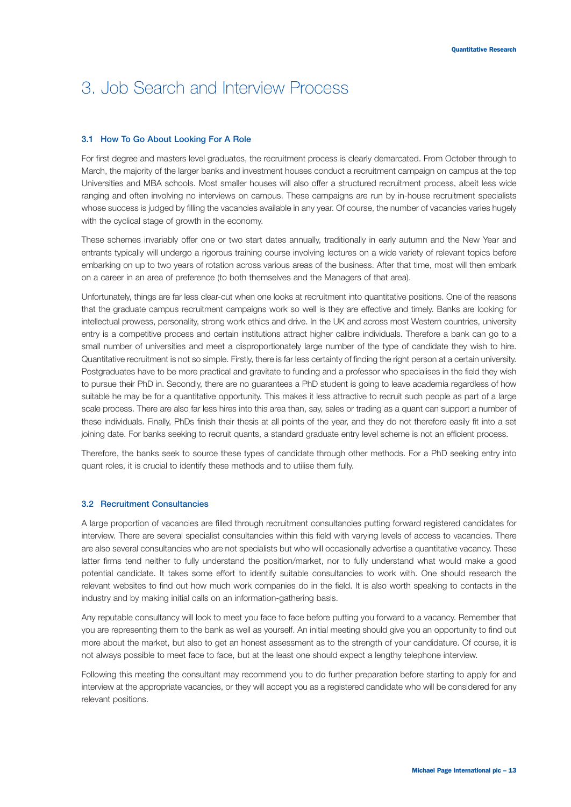# 3. Job Search and Interview Process

#### **3.1 How To Go About Looking For A Role**

For first degree and masters level graduates, the recruitment process is clearly demarcated. From October through to March, the majority of the larger banks and investment houses conduct a recruitment campaign on campus at the top Universities and MBA schools. Most smaller houses will also offer a structured recruitment process, albeit less wide ranging and often involving no interviews on campus. These campaigns are run by in-house recruitment specialists whose success is judged by filling the vacancies available in any year. Of course, the number of vacancies varies hugely with the cyclical stage of growth in the economy.

These schemes invariably offer one or two start dates annually, traditionally in early autumn and the New Year and entrants typically will undergo a rigorous training course involving lectures on a wide variety of relevant topics before embarking on up to two years of rotation across various areas of the business. After that time, most will then embark on a career in an area of preference (to both themselves and the Managers of that area).

Unfortunately, things are far less clear-cut when one looks at recruitment into quantitative positions. One of the reasons that the graduate campus recruitment campaigns work so well is they are effective and timely. Banks are looking for intellectual prowess, personality, strong work ethics and drive. In the UK and across most Western countries, university entry is a competitive process and certain institutions attract higher calibre individuals. Therefore a bank can go to a small number of universities and meet a disproportionately large number of the type of candidate they wish to hire. Quantitative recruitment is not so simple. Firstly, there is far less certainty of finding the right person at a certain university. Postgraduates have to be more practical and gravitate to funding and a professor who specialises in the field they wish to pursue their PhD in. Secondly, there are no guarantees a PhD student is going to leave academia regardless of how suitable he may be for a quantitative opportunity. This makes it less attractive to recruit such people as part of a large scale process. There are also far less hires into this area than, say, sales or trading as a quant can support a number of these individuals. Finally, PhDs finish their thesis at all points of the year, and they do not therefore easily fit into a set joining date. For banks seeking to recruit quants, a standard graduate entry level scheme is not an efficient process.

Therefore, the banks seek to source these types of candidate through other methods. For a PhD seeking entry into quant roles, it is crucial to identify these methods and to utilise them fully.

#### **3.2 Recruitment Consultancies**

A large proportion of vacancies are filled through recruitment consultancies putting forward registered candidates for interview. There are several specialist consultancies within this field with varying levels of access to vacancies. There are also several consultancies who are not specialists but who will occasionally advertise a quantitative vacancy. These latter firms tend neither to fully understand the position/market, nor to fully understand what would make a good potential candidate. It takes some effort to identify suitable consultancies to work with. One should research the relevant websites to find out how much work companies do in the field. It is also worth speaking to contacts in the industry and by making initial calls on an information-gathering basis.

Any reputable consultancy will look to meet you face to face before putting you forward to a vacancy. Remember that you are representing them to the bank as well as yourself. An initial meeting should give you an opportunity to find out more about the market, but also to get an honest assessment as to the strength of your candidature. Of course, it is not always possible to meet face to face, but at the least one should expect a lengthy telephone interview.

Following this meeting the consultant may recommend you to do further preparation before starting to apply for and interview at the appropriate vacancies, or they will accept you as a registered candidate who will be considered for any relevant positions.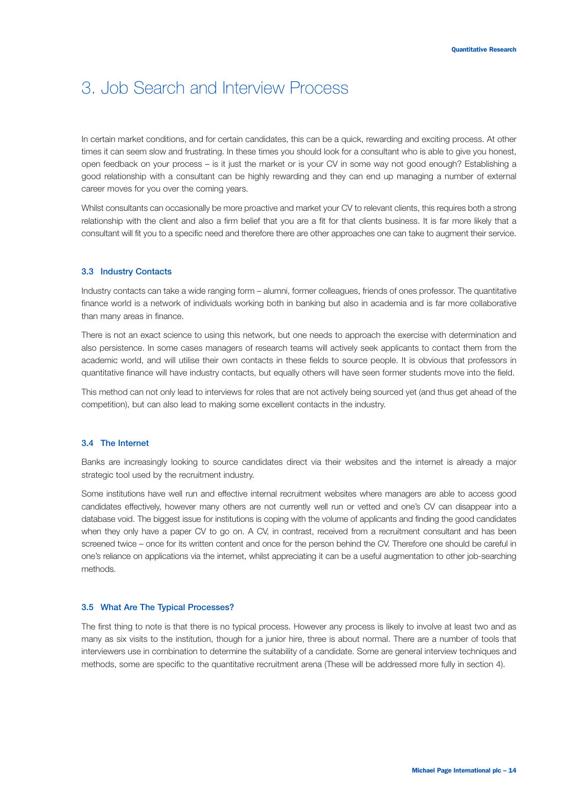### 3. Job Search and Interview Process

In certain market conditions, and for certain candidates, this can be a quick, rewarding and exciting process. At other times it can seem slow and frustrating. In these times you should look for a consultant who is able to give you honest, open feedback on your process – is it just the market or is your CV in some way not good enough? Establishing a good relationship with a consultant can be highly rewarding and they can end up managing a number of external career moves for you over the coming years.

Whilst consultants can occasionally be more proactive and market your CV to relevant clients, this requires both a strong relationship with the client and also a firm belief that you are a fit for that clients business. It is far more likely that a consultant will fit you to a specific need and therefore there are other approaches one can take to augment their service.

#### **3.3 Industry Contacts**

Industry contacts can take a wide ranging form – alumni, former colleagues, friends of ones professor. The quantitative finance world is a network of individuals working both in banking but also in academia and is far more collaborative than many areas in finance.

There is not an exact science to using this network, but one needs to approach the exercise with determination and also persistence. In some cases managers of research teams will actively seek applicants to contact them from the academic world, and will utilise their own contacts in these fields to source people. It is obvious that professors in quantitative finance will have industry contacts, but equally others will have seen former students move into the field.

This method can not only lead to interviews for roles that are not actively being sourced yet (and thus get ahead of the competition), but can also lead to making some excellent contacts in the industry.

#### **3.4 The Internet**

Banks are increasingly looking to source candidates direct via their websites and the internet is already a major strategic tool used by the recruitment industry.

Some institutions have well run and effective internal recruitment websites where managers are able to access good candidates effectively, however many others are not currently well run or vetted and one's CV can disappear into a database void. The biggest issue for institutions is coping with the volume of applicants and finding the good candidates when they only have a paper CV to go on. A CV, in contrast, received from a recruitment consultant and has been screened twice – once for its written content and once for the person behind the CV. Therefore one should be careful in one's reliance on applications via the internet, whilst appreciating it can be a useful augmentation to other job-searching methods.

#### **3.5 What Are The Typical Processes?**

The first thing to note is that there is no typical process. However any process is likely to involve at least two and as many as six visits to the institution, though for a junior hire, three is about normal. There are a number of tools that interviewers use in combination to determine the suitability of a candidate. Some are general interview techniques and methods, some are specific to the quantitative recruitment arena (These will be addressed more fully in section 4).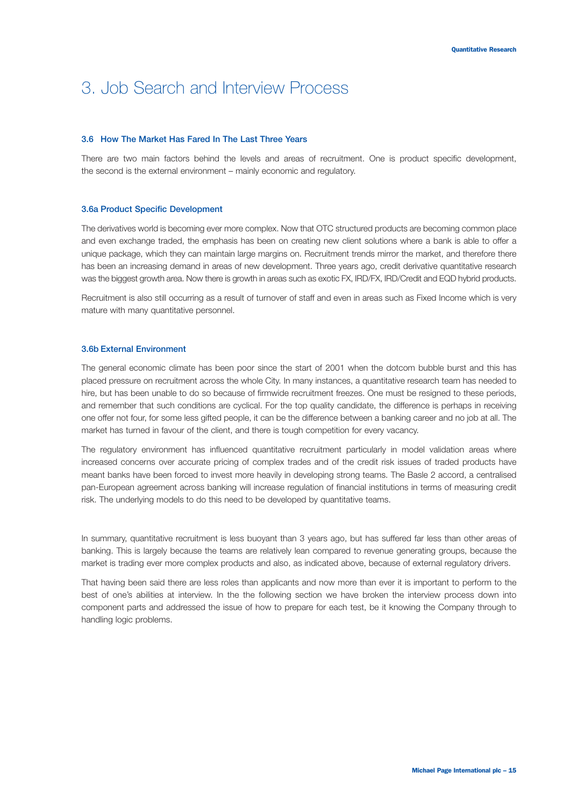### 3. Job Search and Interview Process

#### **3.6 How The Market Has Fared In The Last Three Years**

There are two main factors behind the levels and areas of recruitment. One is product specific development, the second is the external environment – mainly economic and regulatory.

#### **3.6a Product Specific Development**

The derivatives world is becoming ever more complex. Now that OTC structured products are becoming common place and even exchange traded, the emphasis has been on creating new client solutions where a bank is able to offer a unique package, which they can maintain large margins on. Recruitment trends mirror the market, and therefore there has been an increasing demand in areas of new development. Three years ago, credit derivative quantitative research was the biggest growth area. Now there is growth in areas such as exotic FX, IRD/FX, IRD/Credit and EQD hybrid products.

Recruitment is also still occurring as a result of turnover of staff and even in areas such as Fixed Income which is very mature with many quantitative personnel.

#### **3.6b External Environment**

The general economic climate has been poor since the start of 2001 when the dotcom bubble burst and this has placed pressure on recruitment across the whole City. In many instances, a quantitative research team has needed to hire, but has been unable to do so because of firmwide recruitment freezes. One must be resigned to these periods, and remember that such conditions are cyclical. For the top quality candidate, the difference is perhaps in receiving one offer not four, for some less gifted people, it can be the difference between a banking career and no job at all. The market has turned in favour of the client, and there is tough competition for every vacancy.

The regulatory environment has influenced quantitative recruitment particularly in model validation areas where increased concerns over accurate pricing of complex trades and of the credit risk issues of traded products have meant banks have been forced to invest more heavily in developing strong teams. The Basle 2 accord, a centralised pan-European agreement across banking will increase regulation of financial institutions in terms of measuring credit risk. The underlying models to do this need to be developed by quantitative teams.

In summary, quantitative recruitment is less buoyant than 3 years ago, but has suffered far less than other areas of banking. This is largely because the teams are relatively lean compared to revenue generating groups, because the market is trading ever more complex products and also, as indicated above, because of external regulatory drivers.

That having been said there are less roles than applicants and now more than ever it is important to perform to the best of one's abilities at interview. In the the following section we have broken the interview process down into component parts and addressed the issue of how to prepare for each test, be it knowing the Company through to handling logic problems.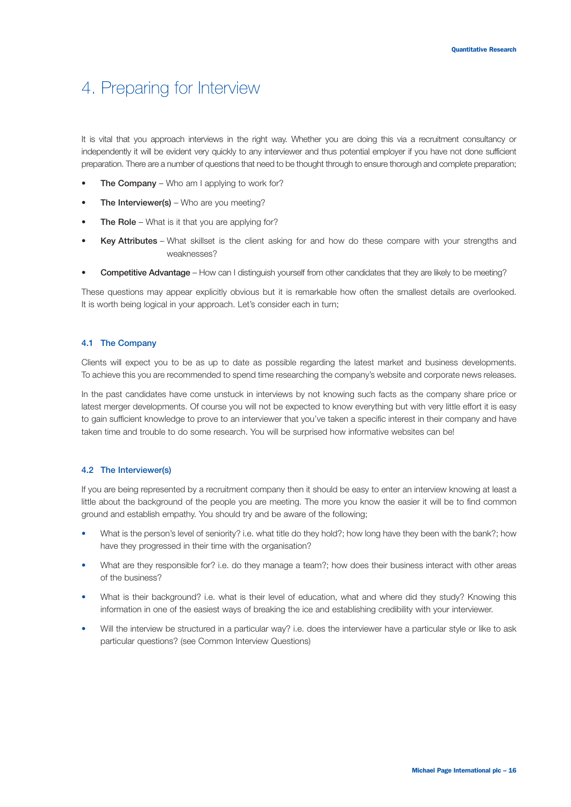It is vital that you approach interviews in the right way. Whether you are doing this via a recruitment consultancy or independently it will be evident very quickly to any interviewer and thus potential employer if you have not done sufficient preparation. There are a number of questions that need to be thought through to ensure thorough and complete preparation;

- **The Company** Who am I applying to work for?
- **The Interviewer(s)** Who are you meeting?
- **The Role** What is it that you are applying for?
- **Key Attributes** What skillset is the client asking for and how do these compare with your strengths and weaknesses?
- **Competitive Advantage** How can I distinguish yourself from other candidates that they are likely to be meeting?

These questions may appear explicitly obvious but it is remarkable how often the smallest details are overlooked. It is worth being logical in your approach. Let's consider each in turn;

#### **4.1 The Company**

Clients will expect you to be as up to date as possible regarding the latest market and business developments. To achieve this you are recommended to spend time researching the company's website and corporate news releases.

In the past candidates have come unstuck in interviews by not knowing such facts as the company share price or latest merger developments. Of course you will not be expected to know everything but with very little effort it is easy to gain sufficient knowledge to prove to an interviewer that you've taken a specific interest in their company and have taken time and trouble to do some research. You will be surprised how informative websites can be!

#### **4.2 The Interviewer(s)**

If you are being represented by a recruitment company then it should be easy to enter an interview knowing at least a little about the background of the people you are meeting. The more you know the easier it will be to find common ground and establish empathy. You should try and be aware of the following;

- What is the person's level of seniority? i.e. what title do they hold?; how long have they been with the bank?; how have they progressed in their time with the organisation?
- What are they responsible for? i.e. do they manage a team?; how does their business interact with other areas of the business?
- What is their background? i.e. what is their level of education, what and where did they study? Knowing this information in one of the easiest ways of breaking the ice and establishing credibility with your interviewer.
- Will the interview be structured in a particular way? i.e. does the interviewer have a particular style or like to ask particular questions? (see Common Interview Questions)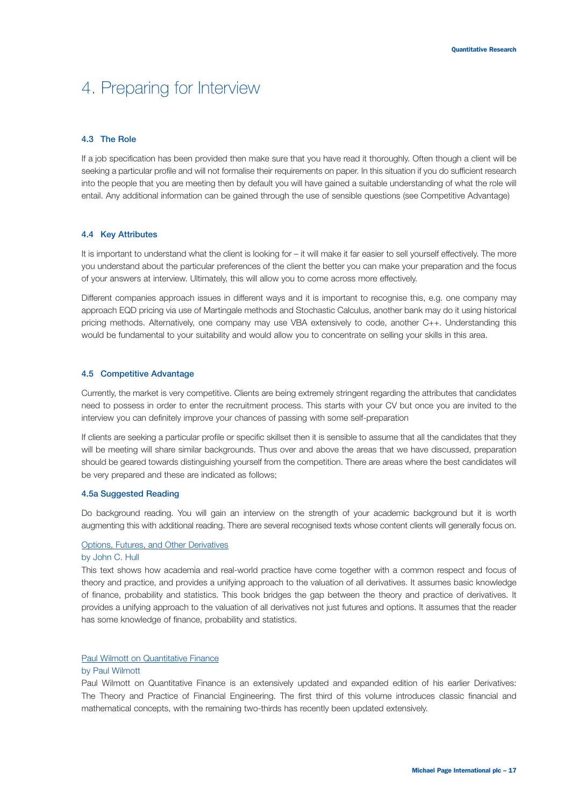#### **4.3 The Role**

If a job specification has been provided then make sure that you have read it thoroughly. Often though a client will be seeking a particular profile and will not formalise their requirements on paper. In this situation if you do sufficient research into the people that you are meeting then by default you will have gained a suitable understanding of what the role will entail. Any additional information can be gained through the use of sensible questions (see Competitive Advantage)

#### **4.4 Key Attributes**

It is important to understand what the client is looking for – it will make it far easier to sell yourself effectively. The more you understand about the particular preferences of the client the better you can make your preparation and the focus of your answers at interview. Ultimately, this will allow you to come across more effectively.

Different companies approach issues in different ways and it is important to recognise this, e.g. one company may approach EQD pricing via use of Martingale methods and Stochastic Calculus, another bank may do it using historical pricing methods. Alternatively, one company may use VBA extensively to code, another C++. Understanding this would be fundamental to your suitability and would allow you to concentrate on selling your skills in this area.

#### **4.5 Competitive Advantage**

Currently, the market is very competitive. Clients are being extremely stringent regarding the attributes that candidates need to possess in order to enter the recruitment process. This starts with your CV but once you are invited to the interview you can definitely improve your chances of passing with some self-preparation

If clients are seeking a particular profile or specific skillset then it is sensible to assume that all the candidates that they will be meeting will share similar backgrounds. Thus over and above the areas that we have discussed, preparation should be geared towards distinguishing yourself from the competition. There are areas where the best candidates will be very prepared and these are indicated as follows;

#### **4.5a Suggested Reading**

Do background reading. You will gain an interview on the strength of your academic background but it is worth augmenting this with additional reading. There are several recognised texts whose content clients will generally focus on.

#### Options, Futures, and Other Derivatives

#### by John C. Hull

This text shows how academia and real-world practice have come together with a common respect and focus of theory and practice, and provides a unifying approach to the valuation of all derivatives. It assumes basic knowledge of finance, probability and statistics. This book bridges the gap between the theory and practice of derivatives. It provides a unifying approach to the valuation of all derivatives not just futures and options. It assumes that the reader has some knowledge of finance, probability and statistics.

#### Paul Wilmott on Quantitative Finance

#### by Paul Wilmott

Paul Wilmott on Quantitative Finance is an extensively updated and expanded edition of his earlier Derivatives: The Theory and Practice of Financial Engineering. The first third of this volume introduces classic financial and mathematical concepts, with the remaining two-thirds has recently been updated extensively.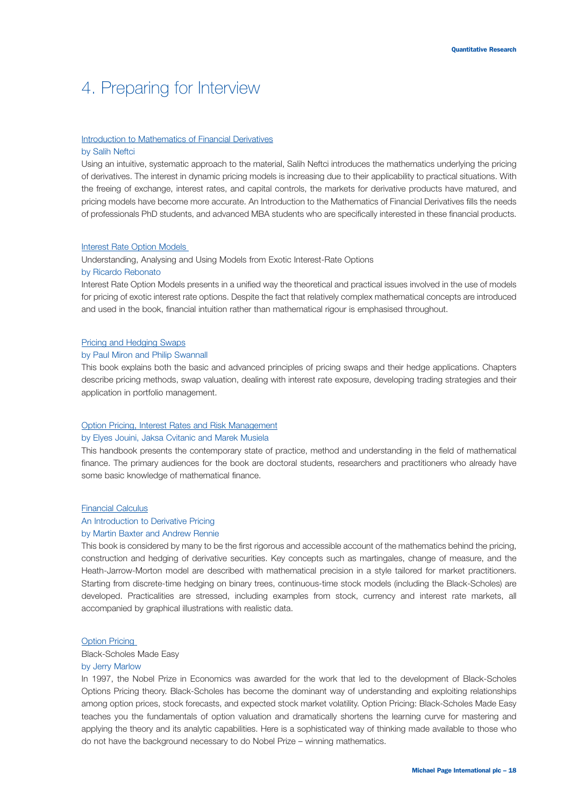### Introduction to Mathematics of Financial Derivatives

#### by Salih Neftci

Using an intuitive, systematic approach to the material, Salih Neftci introduces the mathematics underlying the pricing of derivatives. The interest in dynamic pricing models is increasing due to their applicability to practical situations. With the freeing of exchange, interest rates, and capital controls, the markets for derivative products have matured, and pricing models have become more accurate. An Introduction to the Mathematics of Financial Derivatives fills the needs of professionals PhD students, and advanced MBA students who are specifically interested in these financial products.

#### Interest Rate Option Models

Understanding, Analysing and Using Models from Exotic Interest-Rate Options

### by Ricardo Rebonato

Interest Rate Option Models presents in a unified way the theoretical and practical issues involved in the use of models for pricing of exotic interest rate options. Despite the fact that relatively complex mathematical concepts are introduced and used in the book, financial intuition rather than mathematical rigour is emphasised throughout.

#### Pricing and Hedging Swaps

#### by Paul Miron and Philip Swannall

This book explains both the basic and advanced principles of pricing swaps and their hedge applications. Chapters describe pricing methods, swap valuation, dealing with interest rate exposure, developing trading strategies and their application in portfolio management.

#### Option Pricing, Interest Rates and Risk Management

#### by Elyes Jouini, Jaksa Cvitanic and Marek Musiela

This handbook presents the contemporary state of practice, method and understanding in the field of mathematical finance. The primary audiences for the book are doctoral students, researchers and practitioners who already have some basic knowledge of mathematical finance.

#### Financial Calculus

#### An Introduction to Derivative Pricing

### by Martin Baxter and Andrew Rennie

This book is considered by many to be the first rigorous and accessible account of the mathematics behind the pricing, construction and hedging of derivative securities. Key concepts such as martingales, change of measure, and the Heath-Jarrow-Morton model are described with mathematical precision in a style tailored for market practitioners. Starting from discrete-time hedging on binary trees, continuous-time stock models (including the Black-Scholes) are developed. Practicalities are stressed, including examples from stock, currency and interest rate markets, all accompanied by graphical illustrations with realistic data.

#### Option Pricing

Black-Scholes Made Easy

#### by Jerry Marlow

In 1997, the Nobel Prize in Economics was awarded for the work that led to the development of Black-Scholes Options Pricing theory. Black-Scholes has become the dominant way of understanding and exploiting relationships among option prices, stock forecasts, and expected stock market volatility. Option Pricing: Black-Scholes Made Easy teaches you the fundamentals of option valuation and dramatically shortens the learning curve for mastering and applying the theory and its analytic capabilities. Here is a sophisticated way of thinking made available to those who do not have the background necessary to do Nobel Prize – winning mathematics.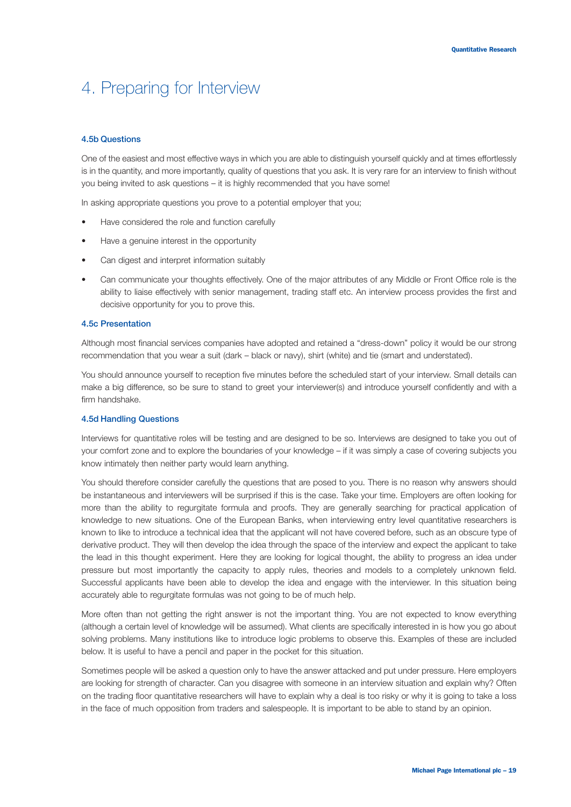#### **4.5b Questions**

One of the easiest and most effective ways in which you are able to distinguish yourself quickly and at times effortlessly is in the quantity, and more importantly, quality of questions that you ask. It is very rare for an interview to finish without you being invited to ask questions – it is highly recommended that you have some!

In asking appropriate questions you prove to a potential employer that you;

- Have considered the role and function carefully
- Have a genuine interest in the opportunity
- Can digest and interpret information suitably
- Can communicate your thoughts effectively. One of the major attributes of any Middle or Front Office role is the ability to liaise effectively with senior management, trading staff etc. An interview process provides the first and decisive opportunity for you to prove this.

#### **4.5c Presentation**

Although most financial services companies have adopted and retained a "dress-down" policy it would be our strong recommendation that you wear a suit (dark – black or navy), shirt (white) and tie (smart and understated).

You should announce yourself to reception five minutes before the scheduled start of your interview. Small details can make a big difference, so be sure to stand to greet your interviewer(s) and introduce yourself confidently and with a firm handshake.

#### **4.5d Handling Questions**

Interviews for quantitative roles will be testing and are designed to be so. Interviews are designed to take you out of your comfort zone and to explore the boundaries of your knowledge – if it was simply a case of covering subjects you know intimately then neither party would learn anything.

You should therefore consider carefully the questions that are posed to you. There is no reason why answers should be instantaneous and interviewers will be surprised if this is the case. Take your time. Employers are often looking for more than the ability to regurgitate formula and proofs. They are generally searching for practical application of knowledge to new situations. One of the European Banks, when interviewing entry level quantitative researchers is known to like to introduce a technical idea that the applicant will not have covered before, such as an obscure type of derivative product. They will then develop the idea through the space of the interview and expect the applicant to take the lead in this thought experiment. Here they are looking for logical thought, the ability to progress an idea under pressure but most importantly the capacity to apply rules, theories and models to a completely unknown field. Successful applicants have been able to develop the idea and engage with the interviewer. In this situation being accurately able to regurgitate formulas was not going to be of much help.

More often than not getting the right answer is not the important thing. You are not expected to know everything (although a certain level of knowledge will be assumed). What clients are specifically interested in is how you go about solving problems. Many institutions like to introduce logic problems to observe this. Examples of these are included below. It is useful to have a pencil and paper in the pocket for this situation.

Sometimes people will be asked a question only to have the answer attacked and put under pressure. Here employers are looking for strength of character. Can you disagree with someone in an interview situation and explain why? Often on the trading floor quantitative researchers will have to explain why a deal is too risky or why it is going to take a loss in the face of much opposition from traders and salespeople. It is important to be able to stand by an opinion.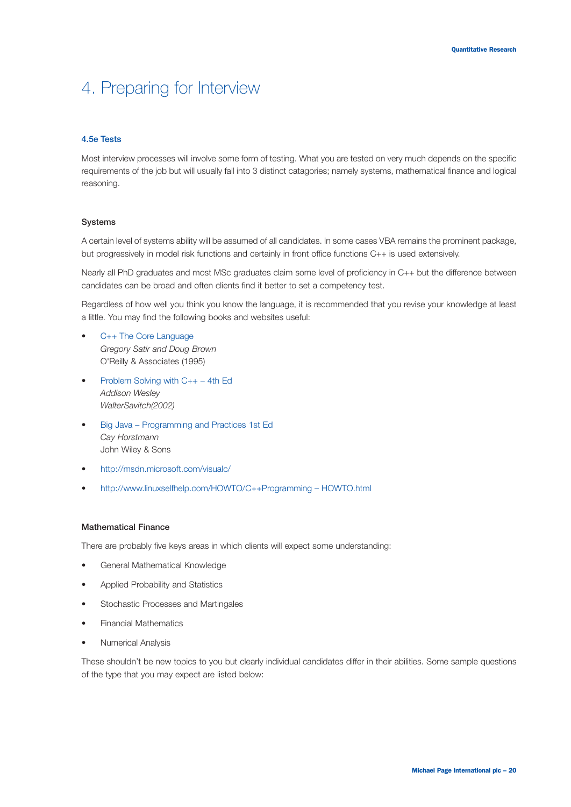#### **4.5e Tests**

Most interview processes will involve some form of testing. What you are tested on very much depends on the specific requirements of the job but will usually fall into 3 distinct catagories; namely systems, mathematical finance and logical reasoning.

#### **Systems**

A certain level of systems ability will be assumed of all candidates. In some cases VBA remains the prominent package, but progressively in model risk functions and certainly in front office functions C++ is used extensively.

Nearly all PhD graduates and most MSc graduates claim some level of proficiency in C++ but the difference between candidates can be broad and often clients find it better to set a competency test.

Regardless of how well you think you know the language, it is recommended that you revise your knowledge at least a little. You may find the following books and websites useful:

- C++ The Core Language *Gregory Satir and Doug Brown* O'Reilly & Associates (1995)
- Problem Solving with C++ 4th Ed *Addison Wesley WalterSavitch(2002)*
- Big Java Programming and Practices 1st Ed *Cay Horstmann* John Wiley & Sons
- http://msdn.microsoft.com/visualc/
- http://www.linuxselfhelp.com/HOWTO/C++Programming HOWTO.html

#### **Mathematical Finance**

There are probably five keys areas in which clients will expect some understanding:

- General Mathematical Knowledge
- Applied Probability and Statistics
- Stochastic Processes and Martingales
- Financial Mathematics
- Numerical Analysis

These shouldn't be new topics to you but clearly individual candidates differ in their abilities. Some sample questions of the type that you may expect are listed below: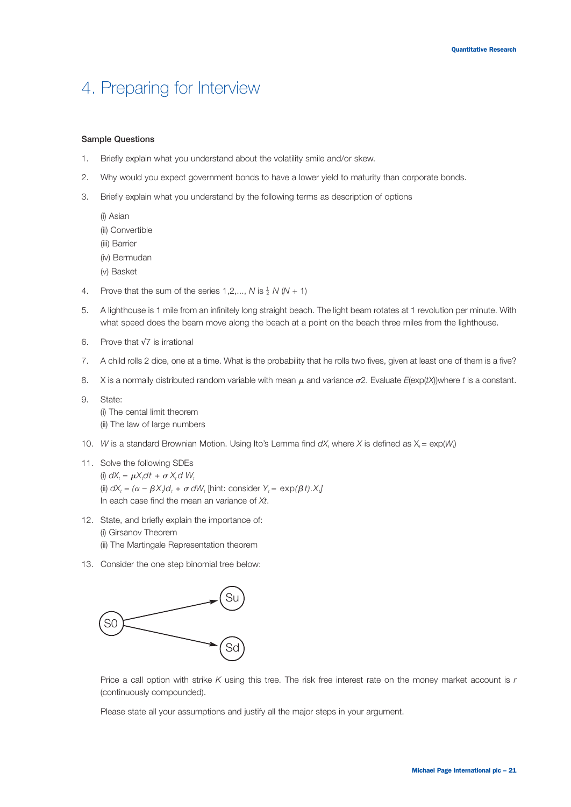#### **Sample Questions**

- 1. Briefly explain what you understand about the volatility smile and/or skew.
- 2. Why would you expect government bonds to have a lower yield to maturity than corporate bonds.
- 3. Briefly explain what you understand by the following terms as description of options
	- (i) Asian (ii) Convertible (iii) Barrier (iv) Bermudan (v) Basket
- 4. Prove that the sum of the series  $1, 2, ..., N$  is  $\frac{1}{2}N(N + 1)$
- 5. A lighthouse is 1 mile from an infinitely long straight beach. The light beam rotates at 1 revolution per minute. With what speed does the beam move along the beach at a point on the beach three miles from the lighthouse.
- 6. Prove that √7 is irrational
- 7. A child rolls 2 dice, one at a time. What is the probability that he rolls two fives, given at least one of them is a five?
- 8. X is a normally distributed random variable with mean  $\mu$  and variance  $\sigma$ 2. Evaluate  $E(\exp(tX))$ where t is a constant.
- 9. State:

(i) The cental limit theorem (ii) The law of large numbers

- 10. *W* is a standard Brownian Motion. Using Ito's Lemma find  $dX_t$  where X is defined as  $X_t = \exp(W_t)$
- 11. Solve the following SDEs (i)  $dX_t = \mu X_t dt + \sigma X_t dW_t$ (ii)  $dX_t = (\alpha - \beta X_t)d_t + \sigma dW_t$  [hint: consider  $Y_t = \exp(\beta t).X_t$ ] In each case find the mean an variance of *Xt*.
- 12. State, and briefly explain the importance of: (i) Girsanov Theorem (ii) The Martingale Representation theorem
- 13. Consider the one step binomial tree below:



Price a call option with strike *K* using this tree. The risk free interest rate on the money market account is *r* (continuously compounded).

Please state all your assumptions and justify all the major steps in your argument.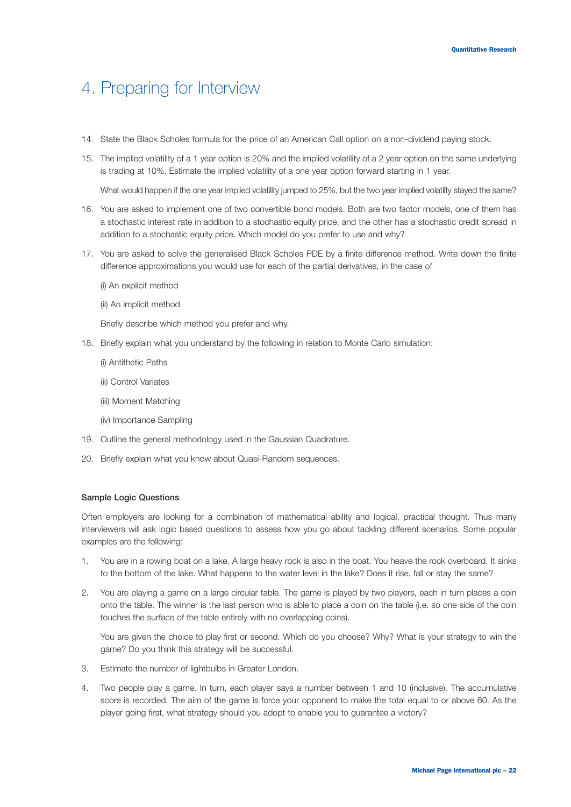- 14. State the Black Scholes formula for the price of an American Call option on a non-dividend paying stock.
- 15. The implied volatility of a 1 year option is 20% and the implied volatility of a 2 year option on the same underlying is trading at 10%. Estimate the implied volatility of a one year option forward starting in 1 year.

What would happen if the one year implied volatility jumped to 25%, but the two year implied volatilty stayed the same?

- 16. You are asked to implement one of two convertible bond models. Both are two factor models, one of them has a stochastic interest rate in addition to a stochastic equity price, and the other has a stochastic credit spread in addition to a stochastic equity price. Which model do you prefer to use and why?
- 17. You are asked to solve the generalised Black Scholes PDE by a finite difference method. Write down the finite difference approximations you would use for each of the partial derivatives, in the case of
	- (i) An explicit method
	- (ii) An implicit method

Briefly describe which method you prefer and why.

- 18. Briefly explain what you understand by the following in relation to Monte Carlo simulation:
	- (i) Antithetic Paths
	- (ii) Control Variates
	- (iii) Moment Matching
	- (iv) Importance Sampling
- 19. Outline the general methodology used in the Gaussian Quadrature.
- 20. Briefly explain what you know about Quasi-Random sequences.

#### **Sample Logic Questions**

Often employers are looking for a combination of mathematical ability and logical, practical thought. Thus many interviewers will ask logic based questions to assess how you go about tackling different scenarios. Some popular examples are the following:

- 1. You are in a rowing boat on a lake. A large heavy rock is also in the boat. You heave the rock overboard. It sinks to the bottom of the lake. What happens to the water level in the lake? Does it rise, fall or stay the same?
- 2. You are playing a game on a large circular table. The game is played by two players, each in turn places a coin onto the table. The winner is the last person who is able to place a coin on the table (i.e. so one side of the coin touches the surface of the table entirely with no overlapping coins).

You are given the choice to play first or second. Which do you choose? Why? What is your strategy to win the game? Do you think this strategy will be successful.

- 3. Estimate the number of lightbulbs in Greater London.
- 4. Two people play a game. In turn, each player says a number between 1 and 10 (inclusive). The accumulative score is recorded. The aim of the game is force your opponent to make the total equal to or above 60. As the player going first, what strategy should you adopt to enable you to guarantee a victory?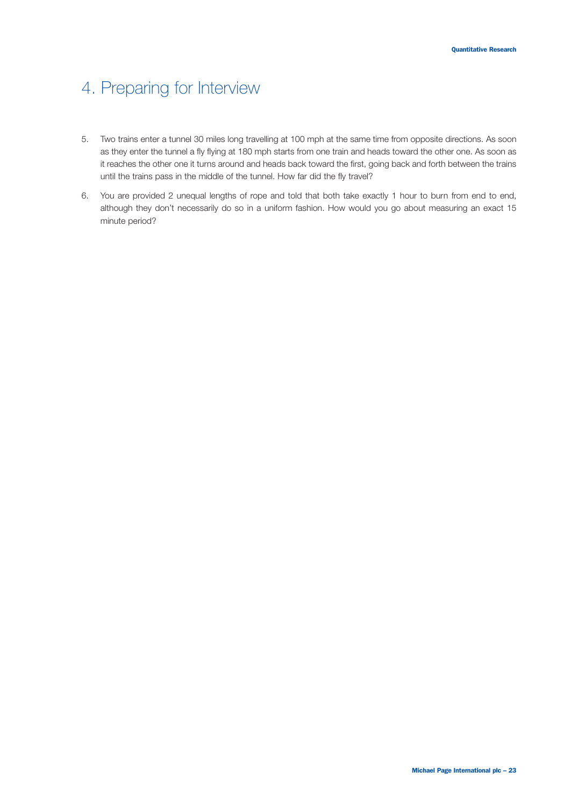- 5. Two trains enter a tunnel 30 miles long travelling at 100 mph at the same time from opposite directions. As soon as they enter the tunnel a fly flying at 180 mph starts from one train and heads toward the other one. As soon as it reaches the other one it turns around and heads back toward the first, going back and forth between the trains until the trains pass in the middle of the tunnel. How far did the fly travel?
- 6. You are provided 2 unequal lengths of rope and told that both take exactly 1 hour to burn from end to end, although they don't necessarily do so in a uniform fashion. How would you go about measuring an exact 15 minute period?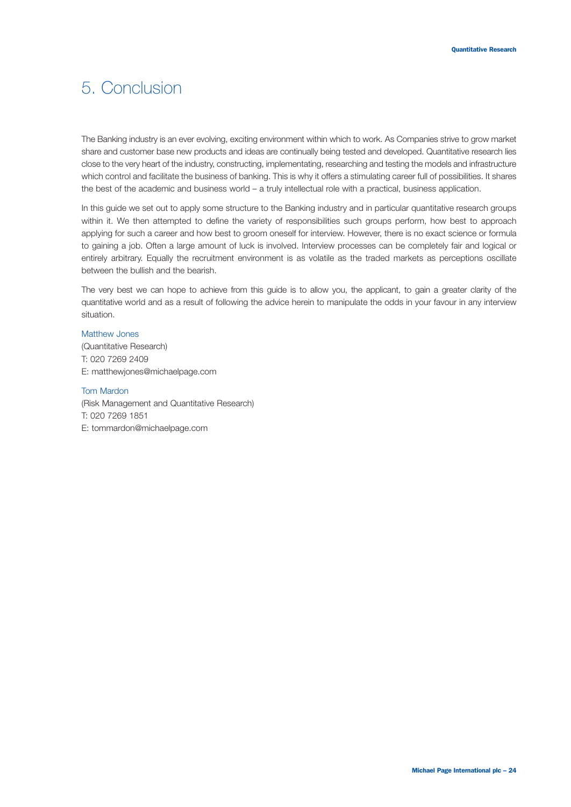### 5. Conclusion

The Banking industry is an ever evolving, exciting environment within which to work. As Companies strive to grow market share and customer base new products and ideas are continually being tested and developed. Quantitative research lies close to the very heart of the industry, constructing, implementating, researching and testing the models and infrastructure which control and facilitate the business of banking. This is why it offers a stimulating career full of possibilities. It shares the best of the academic and business world – a truly intellectual role with a practical, business application.

In this guide we set out to apply some structure to the Banking industry and in particular quantitative research groups within it. We then attempted to define the variety of responsibilities such groups perform, how best to approach applying for such a career and how best to groom oneself for interview. However, there is no exact science or formula to gaining a job. Often a large amount of luck is involved. Interview processes can be completely fair and logical or entirely arbitrary. Equally the recruitment environment is as volatile as the traded markets as perceptions oscillate between the bullish and the bearish.

The very best we can hope to achieve from this guide is to allow you, the applicant, to gain a greater clarity of the quantitative world and as a result of following the advice herein to manipulate the odds in your favour in any interview situation.

### Matthew Jones

(Quantitative Research) T: 020 7269 2409 E: matthewjones@michaelpage.com

#### Tom Mardon

(Risk Management and Quantitative Research) T: 020 7269 1851 E: tommardon@michaelpage.com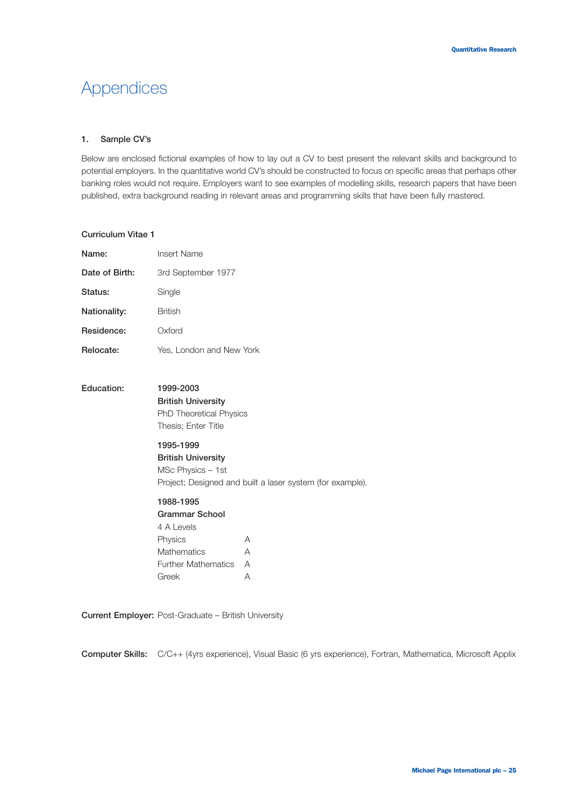#### **1. Sample CV's**

Below are enclosed fictional examples of how to lay out a CV to best present the relevant skills and background to potential employers. In the quantitative world CV's should be constructed to focus on specific areas that perhaps other banking roles would not require. Employers want to see examples of modelling skills, research papers that have been published, extra background reading in relevant areas and programming skills that have been fully mastered.

#### **Curriculum Vitae 1**

| Name:          | Insert Name              |  |  |  |
|----------------|--------------------------|--|--|--|
| Date of Birth: | 3rd September 1977       |  |  |  |
| Status:        | Single                   |  |  |  |
| Nationality:   | <b>British</b>           |  |  |  |
| Residence:     | Oxford                   |  |  |  |
| Relocate:      | Yes, London and New York |  |  |  |

### **Education: 1999-2003 British University** PhD Theoretical Physics Thesis; Enter Title

**1995-1999 British University** MSc Physics – 1st Project; Designed and built a laser system (for example).

**1988-1995 Grammar School** 4 A Levels Physics A Mathematics A Further Mathematics A Greek A

**Current Employer:** Post-Graduate – British University

**Computer Skills:** C/C++ (4yrs experience), Visual Basic (6 yrs experience), Fortran, Mathematica, Microsoft Applix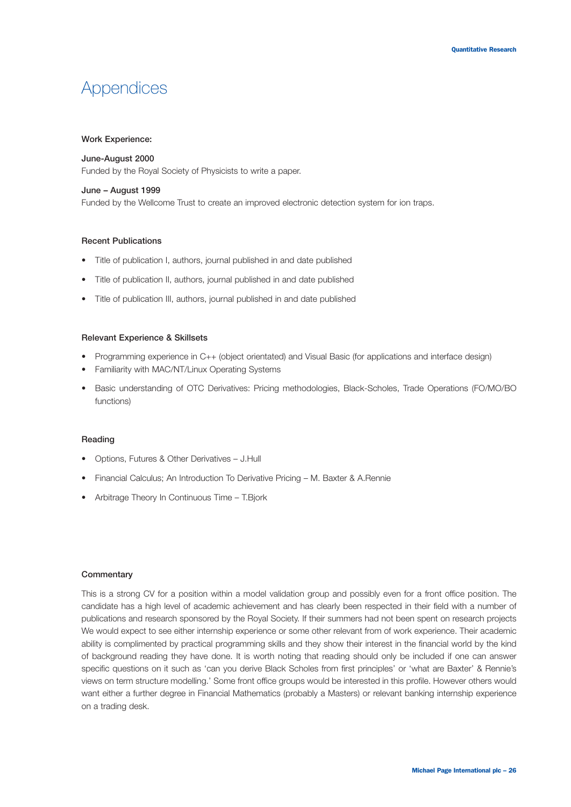#### **Work Experience:**

#### **June-August 2000**

Funded by the Royal Society of Physicists to write a paper.

#### **June – August 1999**

Funded by the Wellcome Trust to create an improved electronic detection system for ion traps.

#### **Recent Publications**

- **•** Title of publication I, authors, journal published in and date published
- Title of publication II, authors, journal published in and date published
- Title of publication III, authors, journal published in and date published

#### **Relevant Experience & Skillsets**

- Programming experience in C++ (object orientated) and Visual Basic (for applications and interface design)
- Familiarity with MAC/NT/Linux Operating Systems
- Basic understanding of OTC Derivatives: Pricing methodologies, Black-Scholes, Trade Operations (FO/MO/BO functions)

#### **Reading**

- Options, Futures & Other Derivatives J.Hull
- Financial Calculus; An Introduction To Derivative Pricing M. Baxter & A.Rennie
- Arbitrage Theory In Continuous Time T.Bjork

#### **Commentary**

This is a strong CV for a position within a model validation group and possibly even for a front office position. The candidate has a high level of academic achievement and has clearly been respected in their field with a number of publications and research sponsored by the Royal Society. If their summers had not been spent on research projects We would expect to see either internship experience or some other relevant from of work experience. Their academic ability is complimented by practical programming skills and they show their interest in the financial world by the kind of background reading they have done. It is worth noting that reading should only be included if one can answer specific questions on it such as 'can you derive Black Scholes from first principles' or 'what are Baxter' & Rennie's views on term structure modelling.' Some front office groups would be interested in this profile. However others would want either a further degree in Financial Mathematics (probably a Masters) or relevant banking internship experience on a trading desk.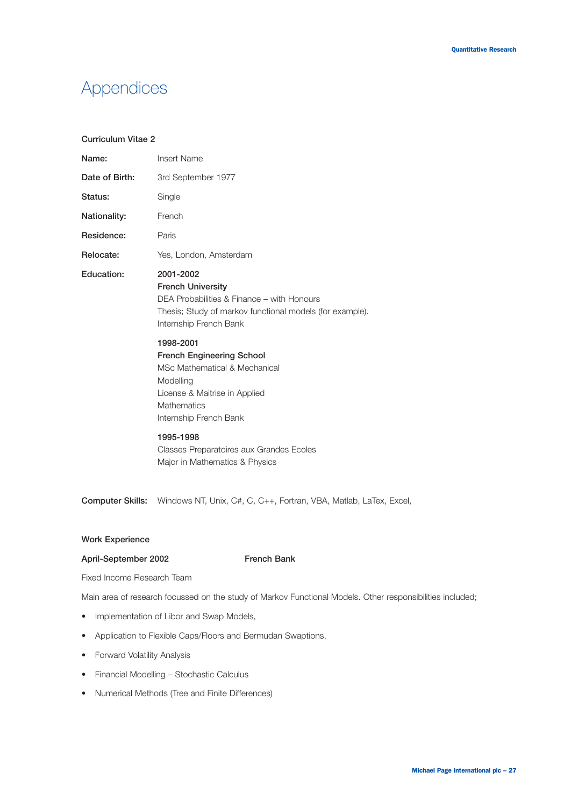#### **Curriculum Vitae 2**

| Name:          | <b>Insert Name</b>                                                                                                                                                                 |  |  |
|----------------|------------------------------------------------------------------------------------------------------------------------------------------------------------------------------------|--|--|
| Date of Birth: | 3rd September 1977                                                                                                                                                                 |  |  |
| Status:        | Single                                                                                                                                                                             |  |  |
| Nationality:   | French                                                                                                                                                                             |  |  |
| Residence:     | Paris                                                                                                                                                                              |  |  |
| Relocate:      | Yes, London, Amsterdam                                                                                                                                                             |  |  |
| Education:     | 2001-2002<br><b>French University</b><br>DEA Probabilities & Finance – with Honours<br>Thesis; Study of markov functional models (for example).<br>Internship French Bank          |  |  |
|                | 1998-2001<br><b>French Engineering School</b><br>MSc Mathematical & Mechanical<br>Modelling<br>License & Maitrise in Applied<br>Mathematics<br>Internship French Bank<br>1995-1998 |  |  |
|                | Classes Preparatoires aux Grandes Ecoles<br>Major in Mathematics & Physics                                                                                                         |  |  |

**Computer Skills:** Windows NT, Unix, C#, C, C++, Fortran, VBA, Matlab, LaTex, Excel,

#### **Work Experience**

#### **April-September 2002 French Bank**

Fixed Income Research Team

Main area of research focussed on the study of Markov Functional Models. Other responsibilities included;

- Implementation of Libor and Swap Models,
- Application to Flexible Caps/Floors and Bermudan Swaptions,
- Forward Volatility Analysis
- Financial Modelling Stochastic Calculus
- Numerical Methods (Tree and Finite Differences)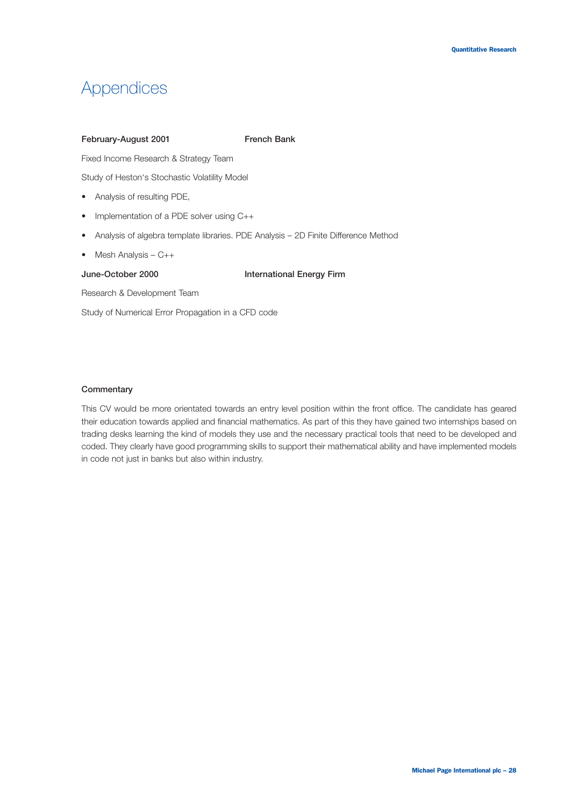#### February-August 2001 **French Bank**

Fixed Income Research & Strategy Team

Study of Heston's Stochastic Volatility Model

- Analysis of resulting PDE,
- Implementation of a PDE solver using C++
- Analysis of algebra template libraries. PDE Analysis 2D Finite Difference Method
- Mesh Analysis C++

#### **June-October 2000 International Energy Firm**

Research & Development Team

Study of Numerical Error Propagation in a CFD code

#### **Commentary**

This CV would be more orientated towards an entry level position within the front office. The candidate has geared their education towards applied and financial mathematics. As part of this they have gained two internships based on trading desks learning the kind of models they use and the necessary practical tools that need to be developed and coded. They clearly have good programming skills to support their mathematical ability and have implemented models in code not just in banks but also within industry.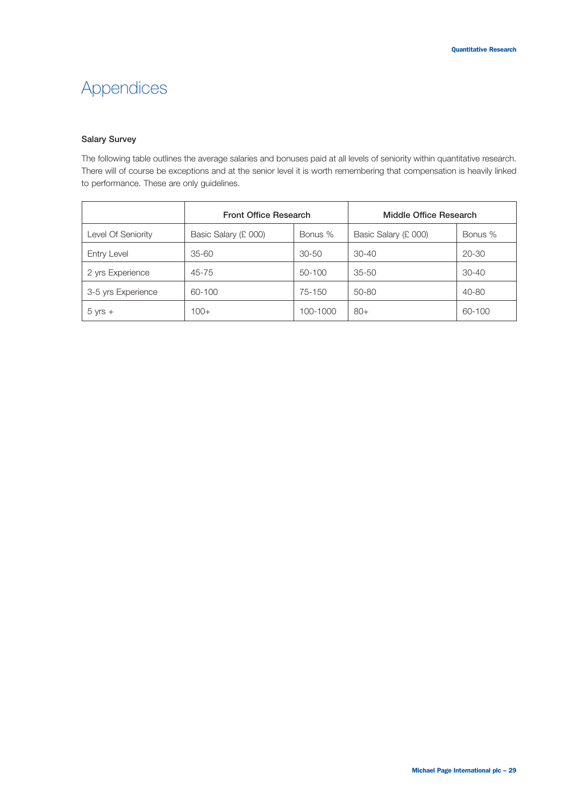### **Salary Survey**

The following table outlines the average salaries and bonuses paid at all levels of seniority within quantitative research. There will of course be exceptions and at the senior level it is worth remembering that compensation is heavily linked to performance. These are only guidelines.

|                    | <b>Front Office Research</b> |           | Middle Office Research |           |
|--------------------|------------------------------|-----------|------------------------|-----------|
| Level Of Seniority | Basic Salary (£ 000)         | Bonus %   | Basic Salary (£ 000)   | Bonus %   |
| Entry Level        | $35 - 60$                    | $30 - 50$ | $30 - 40$              | $20 - 30$ |
| 2 yrs Experience   | 45-75                        | 50-100    | $35 - 50$              | $30 - 40$ |
| 3-5 yrs Experience | 60-100                       | 75-150    | $50 - 80$              | 40-80     |
| $5 yrs +$          | $100+$                       | 100-1000  | $80+$                  | 60-100    |